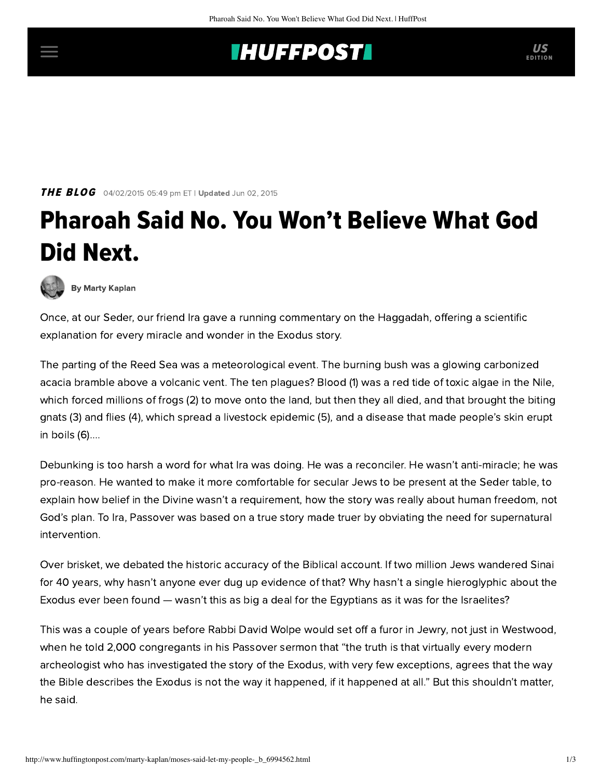## **INUFFPOSTI** US

THE BLOG 04/02/2015 05:49 pm ET | Updated Jun 02, 2015

## Pharoah Said No. You Won't Believe What God Did Next.



[By Marty Kaplan](http://www.huffingtonpost.com/author/marty-kaplan)

Once, at our Seder, our friend Ira gave a running commentary on the Haggadah, offering a scientific explanation for every miracle and wonder in the Exodus story.

The parting of the Reed Sea was a meteorological event. The burning bush was a glowing carbonized acacia bramble above a volcanic vent. The ten plagues? Blood (1) was a red tide of toxic algae in the Nile, which forced millions of frogs (2) to move onto the land, but then they all died, and that brought the biting gnats (3) and flies (4), which spread a livestock epidemic (5), and a disease that made people's skin erupt in boils (6)....

Debunking is too harsh a word for what Ira was doing. He was a reconciler. He wasn't anti-miracle; he was pro-reason. He wanted to make it more comfortable for secular Jews to be present at the Seder table, to explain how belief in the Divine wasn't a requirement, how the story was really about human freedom, not God's plan. To Ira, Passover was based on a true story made truer by obviating the need for supernatural intervention.

Over brisket, we debated the historic accuracy of the Biblical account. If two million Jews wandered Sinai for 40 years, why hasn't anyone ever dug up evidence of that? Why hasn't a single hieroglyphic about the Exodus ever been found — wasn't this as big a deal for the Egyptians as it was for the Israelites?

This was a couple of years before Rabbi David Wolpe would set off a furor in Jewry, not just in Westwood, when [he told](http://articles.latimes.com/2001/apr/13/news/mn-50481) 2,000 congregants in his Passover sermon that "the truth is that virtually every modern archeologist who has investigated the story of the Exodus, with very few exceptions, agrees that the way the Bible describes the Exodus is not the way it happened, if it happened at all." But this shouldn't matter, [he said.](http://www.beliefnet.com/Faiths/Judaism/2004/12/Did-The-Exodus-Really-Happen.aspx?p=1)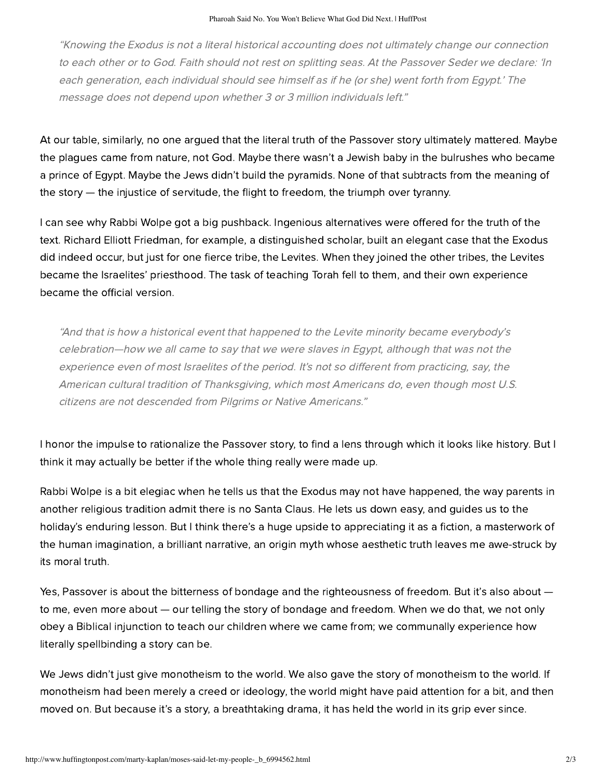"Knowing the Exodus is not a literal historical accounting does not ultimately change our connection to each other or to God. Faith should not rest on splitting seas. At the Passover Seder we declare: 'In each generation, each individual should see himself as if he (or she) went forth from Egypt.' The message does not depend upon whether 3 or 3 million individuals left."

At our table, similarly, no one argued that the literal truth of the Passover story ultimately mattered. Maybe the plagues came from nature, not God. Maybe there wasn't a Jewish baby in the bulrushes who became a prince of Egypt. Maybe the Jews didn't build the pyramids. None of that subtracts from the meaning of the story — the injustice of servitude, the flight to freedom, the triumph over tyranny.

I can see why Rabbi Wolpe got a big pushback. Ingenious alternatives were offered for the truth of the text. Richard Elliott Friedman, for example, a distinguished scholar, built an [elegant case](http://www.reformjudaism.org/exodus-not-fiction) that the Exodus did indeed occur, but just for one fierce tribe, the Levites. When they joined the other tribes, the Levites became the Israelites' priesthood. The task of teaching Torah fell to them, and their own experience became the official version.

"And that is how a historical event that happened to the Levite minority became everybody's celebration—how we all came to say that we were slaves in Egypt, although that was not the experience even of most Israelites of the period. It's not so different from practicing, say, the American cultural tradition of Thanksgiving, which most Americans do, even though most U.S. citizens are not descended from Pilgrims or Native Americans."

I honor the impulse to rationalize the Passover story, to find a lens through which it looks like history. But I think it may actually be better if the whole thing really were made up.

Rabbi Wolpe is a bit elegiac when he tells us that the Exodus may not have happened, the way parents in another religious tradition admit there is no Santa Claus. He lets us down easy, and guides us to the holiday's enduring lesson. But I think there's a huge upside to appreciating it as a fiction, a masterwork of the human imagination, a brilliant narrative, an origin myth whose aesthetic truth leaves me awe-struck by its moral truth.

Yes, Passover is about the bitterness of bondage and the righteousness of freedom. But it's also about  $$ to me, even more about — our telling the story of bondage and freedom. When we do that, we not only obey a Biblical injunction to teach our children where we came from; we communally experience how literally spellbinding a story can be.

We Jews didn't just give monotheism to the world. We also gave the story of monotheism to the world. If monotheism had been merely a creed or ideology, the world might have paid attention for a bit, and then moved on. But because it's a story, a breathtaking drama, it has held the world in its grip ever since.